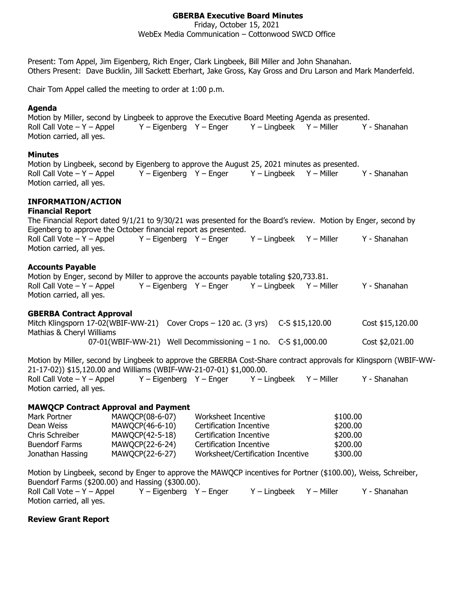### **GBERBA Executive Board Minutes**

Friday, October 15, 2021

WebEx Media Communication – Cottonwood SWCD Office

Present: Tom Appel, Jim Eigenberg, Rich Enger, Clark Lingbeek, Bill Miller and John Shanahan. Others Present: Dave Bucklin, Jill Sackett Eberhart, Jake Gross, Kay Gross and Dru Larson and Mark Manderfeld.

Chair Tom Appel called the meeting to order at 1:00 p.m.

### **Agenda**

Motion by Miller, second by Lingbeek to approve the Executive Board Meeting Agenda as presented. Roll Call Vote – Y – Appel Y – Eigenberg Y – Enger Y – Lingbeek Y – Miller Y - Shanahan Motion carried, all yes.

### **Minutes**

Motion by Lingbeek, second by Eigenberg to approve the August 25, 2021 minutes as presented. Roll Call Vote – Y – Appel Y – Eigenberg Y – Enger Y – Lingbeek Y – Miller Y - Shanahan Motion carried, all yes.

# **INFORMATION/ACTION**

#### **Financial Report**

The Financial Report dated 9/1/21 to 9/30/21 was presented for the Board's review. Motion by Enger, second by Eigenberg to approve the October financial report as presented. Roll Call Vote – Y – Appel Y – Eigenberg Y – Enger Y – Lingbeek Y – Miller Y - Shanahan Motion carried, all yes.

### **Accounts Payable**

Motion by Enger, second by Miller to approve the accounts payable totaling \$20,733.81. Roll Call Vote – Y – Appel Y – Eigenberg Y – Enger Y – Lingbeek Y – Miller Y - Shanahan Motion carried, all yes.

#### **GBERBA Contract Approval**

|                           | Mitch Klingsporn 17-02(WBIF-WW-21) Cover Crops – 120 ac. (3 yrs) C-S \$15,120.00 | Cost \$15,120.00 |
|---------------------------|----------------------------------------------------------------------------------|------------------|
| Mathias & Cheryl Williams |                                                                                  |                  |
|                           | $07-01(WBIF-WW-21)$ Well Decommissioning $-1$ no. C-S \$1,000.00                 | Cost \$2,021.00  |

Motion by Miller, second by Lingbeek to approve the GBERBA Cost-Share contract approvals for Klingsporn (WBIF-WW-21-17-02)) \$15,120.00 and Williams (WBIF-WW-21-07-01) \$1,000.00. Roll Call Vote – Y – Appel Y – Eigenberg Y – Enger Y – Lingbeek Y – Miller Y - Shanahan Motion carried, all yes.

#### **MAWQCP Contract Approval and Payment**

| Mark Portner          | MAWQCP(08-6-07) | Worksheet Incentive               | \$100.00 |
|-----------------------|-----------------|-----------------------------------|----------|
| Dean Weiss            | MAWQCP(46-6-10) | Certification Incentive           | \$200,00 |
| Chris Schreiber       | MAWQCP(42-5-18) | Certification Incentive           | \$200,00 |
| <b>Buendorf Farms</b> | MAWQCP(22-6-24) | Certification Incentive           | \$200,00 |
| Jonathan Hassing      | MAWOCP(22-6-27) | Worksheet/Certification Incentive | \$300.00 |

Motion by Lingbeek, second by Enger to approve the MAWQCP incentives for Portner (\$100.00), Weiss, Schreiber, Buendorf Farms (\$200.00) and Hassing (\$300.00). Roll Call Vote – Y – Appel Y – Eigenberg Y – Enger Y – Lingbeek Y – Miller Y - Shanahan Motion carried, all yes.

### **Review Grant Report**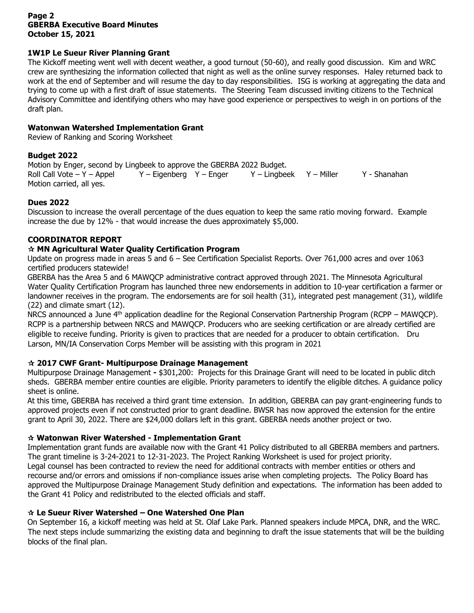### **Page 2 GBERBA Executive Board Minutes October 15, 2021**

### **1W1P Le Sueur River Planning Grant**

The Kickoff meeting went well with decent weather, a good turnout (50-60), and really good discussion. Kim and WRC crew are synthesizing the information collected that night as well as the online survey responses. Haley returned back to work at the end of September and will resume the day to day responsibilities. ISG is working at aggregating the data and trying to come up with a first draft of issue statements. The Steering Team discussed inviting citizens to the Technical Advisory Committee and identifying others who may have good experience or perspectives to weigh in on portions of the draft plan.

### **Watonwan Watershed Implementation Grant**

Review of Ranking and Scoring Worksheet

# **Budget 2022**

Motion by Enger, second by Lingbeek to approve the GBERBA 2022 Budget. Roll Call Vote – Y – Appel Y – Eigenberg Y – Enger Y – Lingbeek Y – Miller Y - Shanahan Motion carried, all yes.

# **Dues 2022**

Discussion to increase the overall percentage of the dues equation to keep the same ratio moving forward. Example increase the due by 12% - that would increase the dues approximately \$5,000.

# **COORDINATOR REPORT**

# **MN Agricultural Water Quality Certification Program**

Update on progress made in areas 5 and 6 – See Certification Specialist Reports. Over 761,000 acres and over 1063 certified producers statewide!

GBERBA has the Area 5 and 6 MAWQCP administrative contract approved through 2021. The Minnesota Agricultural Water Quality Certification Program has launched three new endorsements in addition to 10-year certification a farmer or landowner receives in the program. The endorsements are for soil health (31), integrated pest management (31), wildlife (22) and climate smart (12).

NRCS announced a June 4<sup>th</sup> application deadline for the Regional Conservation Partnership Program (RCPP – MAWQCP). RCPP is a partnership between NRCS and MAWQCP. Producers who are seeking certification or are already certified are eligible to receive funding. Priority is given to practices that are needed for a producer to obtain certification. Dru Larson, MN/IA Conservation Corps Member will be assisting with this program in 2021

# **2017 CWF Grant- Multipurpose Drainage Management**

Multipurpose Drainage Management **-** \$301,200: Projects for this Drainage Grant will need to be located in public ditch sheds. GBERBA member entire counties are eligible. Priority parameters to identify the eligible ditches. A guidance policy sheet is online.

At this time, GBERBA has received a third grant time extension. In addition, GBERBA can pay grant-engineering funds to approved projects even if not constructed prior to grant deadline. BWSR has now approved the extension for the entire grant to April 30, 2022. There are \$24,000 dollars left in this grant. GBERBA needs another project or two.

# **Watonwan River Watershed - Implementation Grant**

Implementation grant funds are available now with the Grant 41 Policy distributed to all GBERBA members and partners. The grant timeline is 3-24-2021 to 12-31-2023. The Project Ranking Worksheet is used for project priority. Legal counsel has been contracted to review the need for additional contracts with member entities or others and recourse and/or errors and omissions if non-compliance issues arise when completing projects. The Policy Board has approved the Multipurpose Drainage Management Study definition and expectations. The information has been added to the Grant 41 Policy and redistributed to the elected officials and staff.

### **Le Sueur River Watershed – One Watershed One Plan**

On September 16, a kickoff meeting was held at St. Olaf Lake Park. Planned speakers include MPCA, DNR, and the WRC. The next steps include summarizing the existing data and beginning to draft the issue statements that will be the building blocks of the final plan.